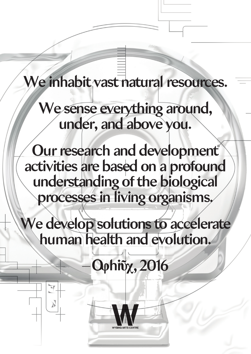## We inhabit vast natural resources.

We sense everything around, under, and above you.

Our research and development activities are based on a profound understanding of the biological processes in living organisms.

We develop solutions to accelerate human health and evolution.

**Ophity**, 2016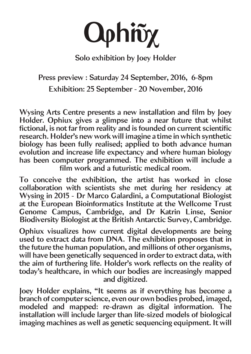

Solo exhibition by Joey Holder

Press preview : Saturday 24 September, 2016, 6-8pm Exhibition: 25 September - 20 November, 2016

Wysing Arts Centre presents a new installation and film by Joey Holder. Ophiux gives a glimpse into a near future that whilst fictional, is not far from reality and is founded on current scientific research. Holder's new work will imagine a time in which synthetic biology has been fully realised; applied to both advance human evolution and increase life expectancy and where human biology has been computer programmed. The exhibition will include a film work and a futuristic medical room.

To conceive the exhibition, the artist has worked in close collaboration with scientists she met during her residency at Wysing in 2015 - Dr Marco Galardini, a Computational Biologist at the European Bioinformatics Institute at the Wellcome Trust Genome Campus, Cambridge, and Dr Katrin Linse, Senior Biodiversity Biologist at the British Antarctic Survey, Cambridge.

Ophiux visualizes how current digital developments are being used to extract data from DNA. The exhibition proposes that in the future the human population, and millions of other organisms, will have been genetically sequenced in order to extract data, with the aim of furthering life. Holder's work reflects on the reality of today's healthcare, in which our bodies are increasingly mapped and digitized.

Joey Holder explains, "It seems as if everything has become a branch of computer science, even our own bodies probed, imaged, modeled and mapped: re-drawn as digital information. The installation will include larger than life-sized models of biological imaging machines as well as genetic sequencing equipment. It will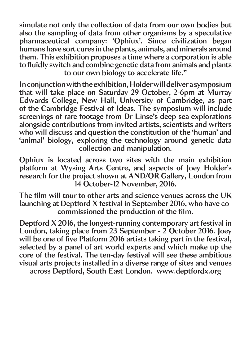simulate not only the collection of data from our own bodies but also the sampling of data from other organisms by a speculative pharmaceutical company: 'Ophiux'. Since civilization began humans have sort cures in the plants, animals, and minerals around them. This exhibition proposes a time where a corporation is able to fluidly switch and combine genetic data from animals and plants to our own biology to accelerate life."

In conjunction with the exhibition, Holder will deliver a symposium that will take place on Saturday 29 October, 2-6pm at Murray Edwards College, New Hall, University of Cambridge, as part of the Cambridge Festival of Ideas. The symposium will include screenings of rare footage from Dr Linse's deep sea explorations alongside contributions from invited artists, scientists and writers who will discuss and question the constitution of the 'human' and 'animal' biology, exploring the technology around genetic data collection and manipulation.

Ophiux is located across two sites with the main exhibition platform at Wysing Arts Centre, and aspects of Joey Holder's research for the project shown at AND/OR Gallery, London from 14 October-12 November, 2016.

The film will tour to other arts and science venues across the UK launching at Deptford X festival in September 2016, who have cocommissioned the production of the film.

Deptford X 2016, the longest-running contemporary art festival in London, taking place from 23 September - 2 October 2016. Joey will be one of five Platform 2016 artists taking part in the festival, selected by a panel of art world experts and which make up the core of the festival. The ten-day festival will see these ambitious visual arts projects installed in a diverse range of sites and venues across Deptford, South East London. www.deptfordx.org